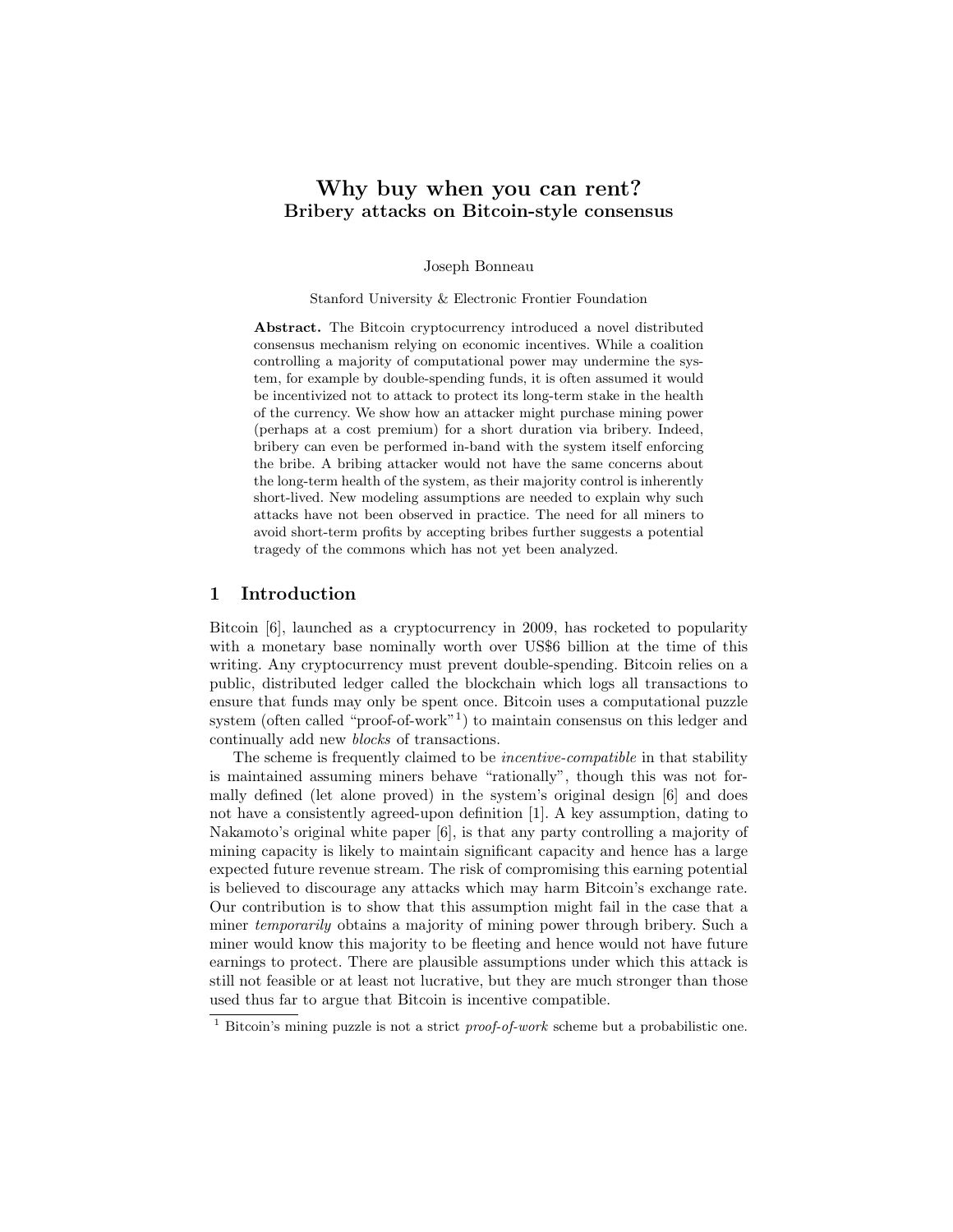# Why buy when you can rent? Bribery attacks on Bitcoin-style consensus

Joseph Bonneau

Stanford University & Electronic Frontier Foundation

Abstract. The Bitcoin cryptocurrency introduced a novel distributed consensus mechanism relying on economic incentives. While a coalition controlling a majority of computational power may undermine the system, for example by double-spending funds, it is often assumed it would be incentivized not to attack to protect its long-term stake in the health of the currency. We show how an attacker might purchase mining power (perhaps at a cost premium) for a short duration via bribery. Indeed, bribery can even be performed in-band with the system itself enforcing the bribe. A bribing attacker would not have the same concerns about the long-term health of the system, as their majority control is inherently short-lived. New modeling assumptions are needed to explain why such attacks have not been observed in practice. The need for all miners to avoid short-term profits by accepting bribes further suggests a potential tragedy of the commons which has not yet been analyzed.

# 1 Introduction

Bitcoin [\[6\]](#page-7-0), launched as a cryptocurrency in 2009, has rocketed to popularity with a monetary base nominally worth over US\$6 billion at the time of this writing. Any cryptocurrency must prevent double-spending. Bitcoin relies on a public, distributed ledger called the blockchain which logs all transactions to ensure that funds may only be spent once. Bitcoin uses a computational puzzle system (often called "proof-of-work"<sup>[1](#page-0-0)</sup>) to maintain consensus on this ledger and continually add new blocks of transactions.

The scheme is frequently claimed to be *incentive-compatible* in that stability is maintained assuming miners behave "rationally", though this was not formally defined (let alone proved) in the system's original design [\[6\]](#page-7-0) and does not have a consistently agreed-upon definition [\[1\]](#page-7-1). A key assumption, dating to Nakamoto's original white paper [\[6\]](#page-7-0), is that any party controlling a majority of mining capacity is likely to maintain significant capacity and hence has a large expected future revenue stream. The risk of compromising this earning potential is believed to discourage any attacks which may harm Bitcoin's exchange rate. Our contribution is to show that this assumption might fail in the case that a miner temporarily obtains a majority of mining power through bribery. Such a miner would know this majority to be fleeting and hence would not have future earnings to protect. There are plausible assumptions under which this attack is still not feasible or at least not lucrative, but they are much stronger than those used thus far to argue that Bitcoin is incentive compatible.

<span id="page-0-0"></span><sup>&</sup>lt;sup>1</sup> Bitcoin's mining puzzle is not a strict *proof-of-work* scheme but a probabilistic one.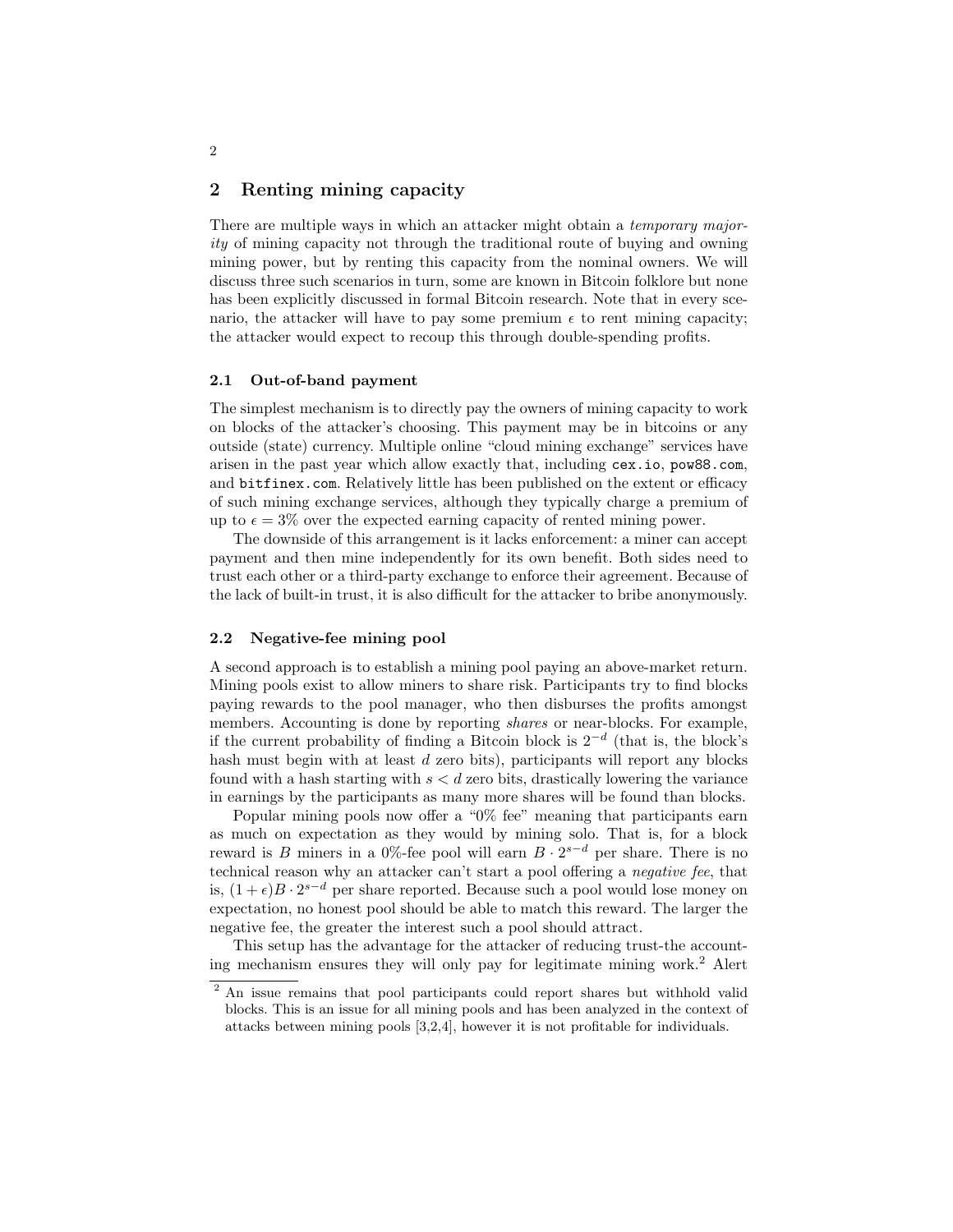# 2 Renting mining capacity

There are multiple ways in which an attacker might obtain a *temporary major*ity of mining capacity not through the traditional route of buying and owning mining power, but by renting this capacity from the nominal owners. We will discuss three such scenarios in turn, some are known in Bitcoin folklore but none has been explicitly discussed in formal Bitcoin research. Note that in every scenario, the attacker will have to pay some premium  $\epsilon$  to rent mining capacity; the attacker would expect to recoup this through double-spending profits.

#### 2.1 Out-of-band payment

The simplest mechanism is to directly pay the owners of mining capacity to work on blocks of the attacker's choosing. This payment may be in bitcoins or any outside (state) currency. Multiple online "cloud mining exchange" services have arisen in the past year which allow exactly that, including <cex.io>, <pow88.com>, and <bitfinex.com>. Relatively little has been published on the extent or efficacy of such mining exchange services, although they typically charge a premium of up to  $\epsilon = 3\%$  over the expected earning capacity of rented mining power.

The downside of this arrangement is it lacks enforcement: a miner can accept payment and then mine independently for its own benefit. Both sides need to trust each other or a third-party exchange to enforce their agreement. Because of the lack of built-in trust, it is also difficult for the attacker to bribe anonymously.

### 2.2 Negative-fee mining pool

A second approach is to establish a mining pool paying an above-market return. Mining pools exist to allow miners to share risk. Participants try to find blocks paying rewards to the pool manager, who then disburses the profits amongst members. Accounting is done by reporting shares or near-blocks. For example, if the current probability of finding a Bitcoin block is  $2^{-d}$  (that is, the block's hash must begin with at least d zero bits), participants will report any blocks found with a hash starting with  $s < d$  zero bits, drastically lowering the variance in earnings by the participants as many more shares will be found than blocks.

Popular mining pools now offer a "0% fee" meaning that participants earn as much on expectation as they would by mining solo. That is, for a block reward is B miners in a 0%-fee pool will earn  $B \cdot 2^{s-d}$  per share. There is no technical reason why an attacker can't start a pool offering a negative fee, that is,  $(1+\epsilon)B \cdot 2^{s-d}$  per share reported. Because such a pool would lose money on expectation, no honest pool should be able to match this reward. The larger the negative fee, the greater the interest such a pool should attract.

This setup has the advantage for the attacker of reducing trust-the accounting mechanism ensures they will only pay for legitimate mining work.[2](#page-1-0) Alert

<span id="page-1-0"></span><sup>&</sup>lt;sup>2</sup> An issue remains that pool participants could report shares but withhold valid blocks. This is an issue for all mining pools and has been analyzed in the context of attacks between mining pools [\[3,](#page-7-2)[2,](#page-7-3)[4\]](#page-7-4), however it is not profitable for individuals.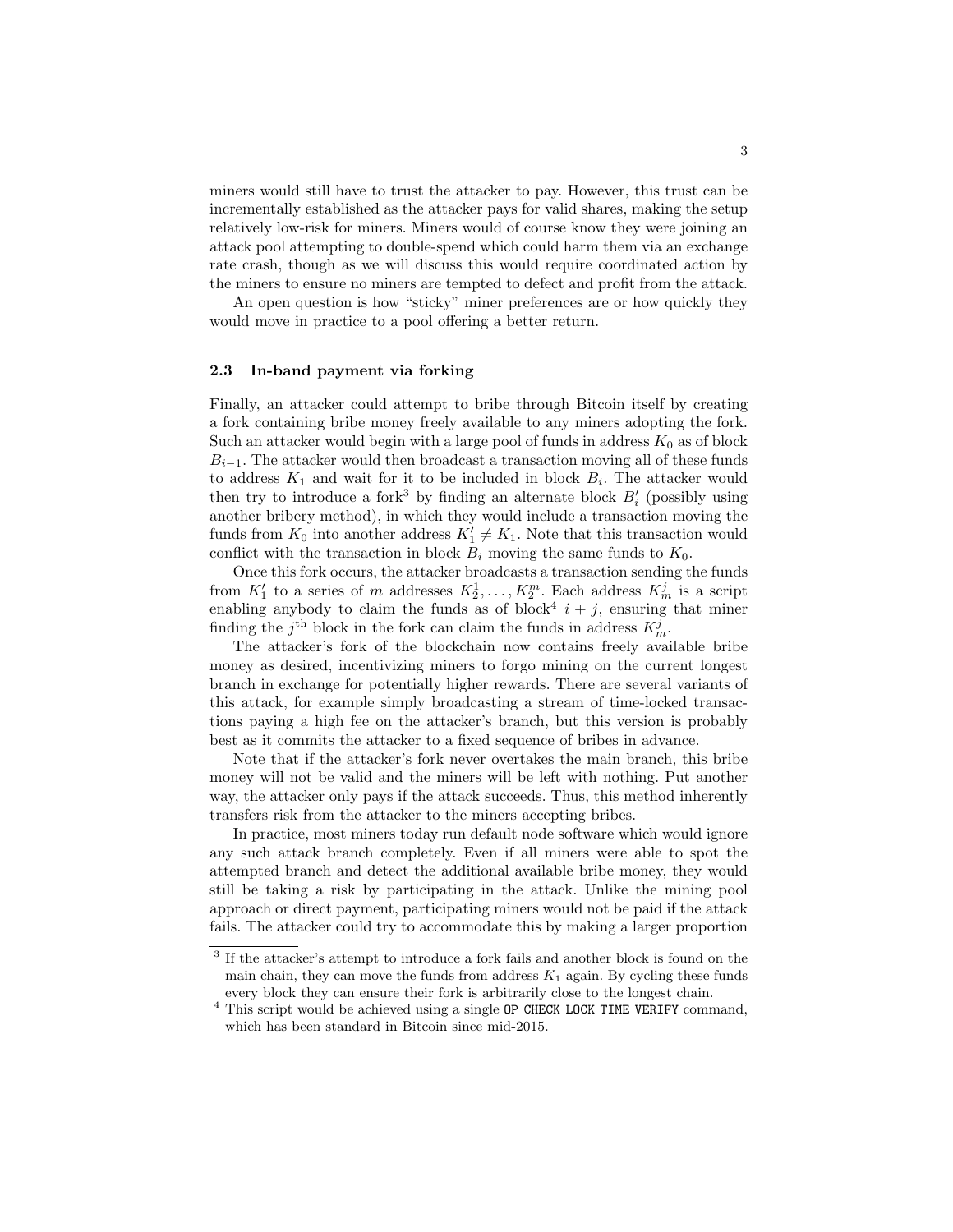miners would still have to trust the attacker to pay. However, this trust can be incrementally established as the attacker pays for valid shares, making the setup relatively low-risk for miners. Miners would of course know they were joining an attack pool attempting to double-spend which could harm them via an exchange rate crash, though as we will discuss this would require coordinated action by the miners to ensure no miners are tempted to defect and profit from the attack.

An open question is how "sticky" miner preferences are or how quickly they would move in practice to a pool offering a better return.

## <span id="page-2-2"></span>2.3 In-band payment via forking

Finally, an attacker could attempt to bribe through Bitcoin itself by creating a fork containing bribe money freely available to any miners adopting the fork. Such an attacker would begin with a large pool of funds in address  $K_0$  as of block  $B_{i-1}$ . The attacker would then broadcast a transaction moving all of these funds to address  $K_1$  and wait for it to be included in block  $B_i$ . The attacker would then try to introduce a fork<sup>[3](#page-2-0)</sup> by finding an alternate block  $B_i'$  (possibly using another bribery method), in which they would include a transaction moving the funds from  $K_0$  into another address  $K_1' \neq K_1$ . Note that this transaction would conflict with the transaction in block  $B_i$  moving the same funds to  $K_0$ .

Once this fork occurs, the attacker broadcasts a transaction sending the funds from  $K_1'$  to a series of m addresses  $K_2^1, \ldots, K_2^m$ . Each address  $K_m^j$  is a script enabling anybody to claim the funds as of block<sup>[4](#page-2-1)</sup>  $i + j$ , ensuring that miner finding the  $j^{\text{th}}$  block in the fork can claim the funds in address  $K_m^j$ .

The attacker's fork of the blockchain now contains freely available bribe money as desired, incentivizing miners to forgo mining on the current longest branch in exchange for potentially higher rewards. There are several variants of this attack, for example simply broadcasting a stream of time-locked transactions paying a high fee on the attacker's branch, but this version is probably best as it commits the attacker to a fixed sequence of bribes in advance.

Note that if the attacker's fork never overtakes the main branch, this bribe money will not be valid and the miners will be left with nothing. Put another way, the attacker only pays if the attack succeeds. Thus, this method inherently transfers risk from the attacker to the miners accepting bribes.

In practice, most miners today run default node software which would ignore any such attack branch completely. Even if all miners were able to spot the attempted branch and detect the additional available bribe money, they would still be taking a risk by participating in the attack. Unlike the mining pool approach or direct payment, participating miners would not be paid if the attack fails. The attacker could try to accommodate this by making a larger proportion

<span id="page-2-0"></span><sup>&</sup>lt;sup>3</sup> If the attacker's attempt to introduce a fork fails and another block is found on the main chain, they can move the funds from address  $K_1$  again. By cycling these funds every block they can ensure their fork is arbitrarily close to the longest chain.

<span id="page-2-1"></span> $^4$  This script would be achieved using a single  $\texttt{OP\_CHECK\_LOCK\_TIME\_VERIFY}$  command, which has been standard in Bitcoin since mid-2015.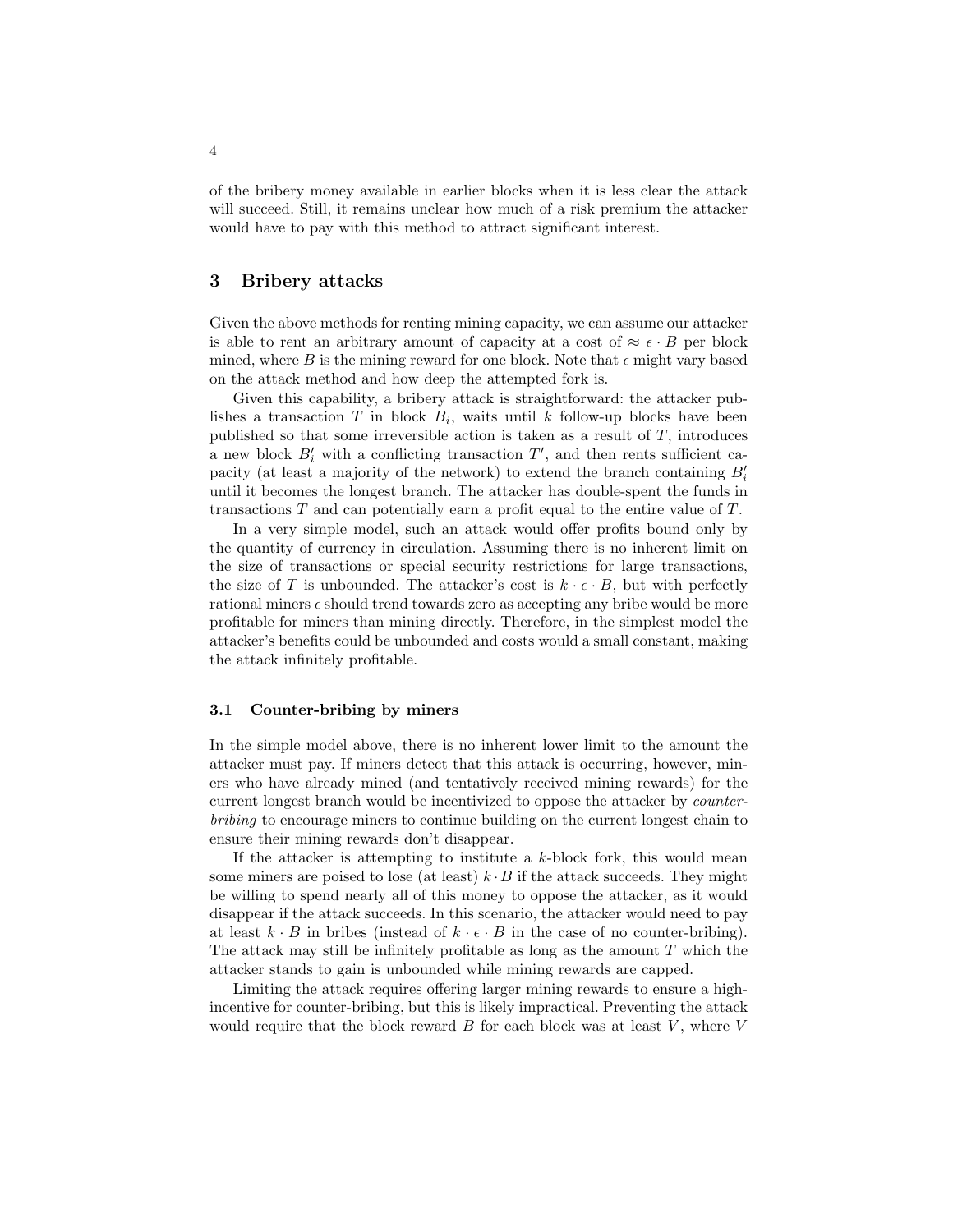of the bribery money available in earlier blocks when it is less clear the attack will succeed. Still, it remains unclear how much of a risk premium the attacker would have to pay with this method to attract significant interest.

# 3 Bribery attacks

Given the above methods for renting mining capacity, we can assume our attacker is able to rent an arbitrary amount of capacity at a cost of  $\approx \epsilon \cdot B$  per block mined, where B is the mining reward for one block. Note that  $\epsilon$  might vary based on the attack method and how deep the attempted fork is.

Given this capability, a bribery attack is straightforward: the attacker publishes a transaction  $T$  in block  $B_i$ , waits until k follow-up blocks have been published so that some irreversible action is taken as a result of  $T$ , introduces a new block  $B_i'$  with a conflicting transaction  $T'$ , and then rents sufficient capacity (at least a majority of the network) to extend the branch containing  $B_i'$ until it becomes the longest branch. The attacker has double-spent the funds in transactions T and can potentially earn a profit equal to the entire value of T.

In a very simple model, such an attack would offer profits bound only by the quantity of currency in circulation. Assuming there is no inherent limit on the size of transactions or special security restrictions for large transactions, the size of T is unbounded. The attacker's cost is  $k \cdot \epsilon \cdot B$ , but with perfectly rational miners  $\epsilon$  should trend towards zero as accepting any bribe would be more profitable for miners than mining directly. Therefore, in the simplest model the attacker's benefits could be unbounded and costs would a small constant, making the attack infinitely profitable.

### 3.1 Counter-bribing by miners

In the simple model above, there is no inherent lower limit to the amount the attacker must pay. If miners detect that this attack is occurring, however, miners who have already mined (and tentatively received mining rewards) for the current longest branch would be incentivized to oppose the attacker by counterbribing to encourage miners to continue building on the current longest chain to ensure their mining rewards don't disappear.

If the attacker is attempting to institute a  $k$ -block fork, this would mean some miners are poised to lose (at least)  $k \cdot B$  if the attack succeeds. They might be willing to spend nearly all of this money to oppose the attacker, as it would disappear if the attack succeeds. In this scenario, the attacker would need to pay at least  $k \cdot B$  in bribes (instead of  $k \cdot \epsilon \cdot B$  in the case of no counter-bribing). The attack may still be infinitely profitable as long as the amount  $T$  which the attacker stands to gain is unbounded while mining rewards are capped.

Limiting the attack requires offering larger mining rewards to ensure a highincentive for counter-bribing, but this is likely impractical. Preventing the attack would require that the block reward  $B$  for each block was at least  $V$ , where  $V$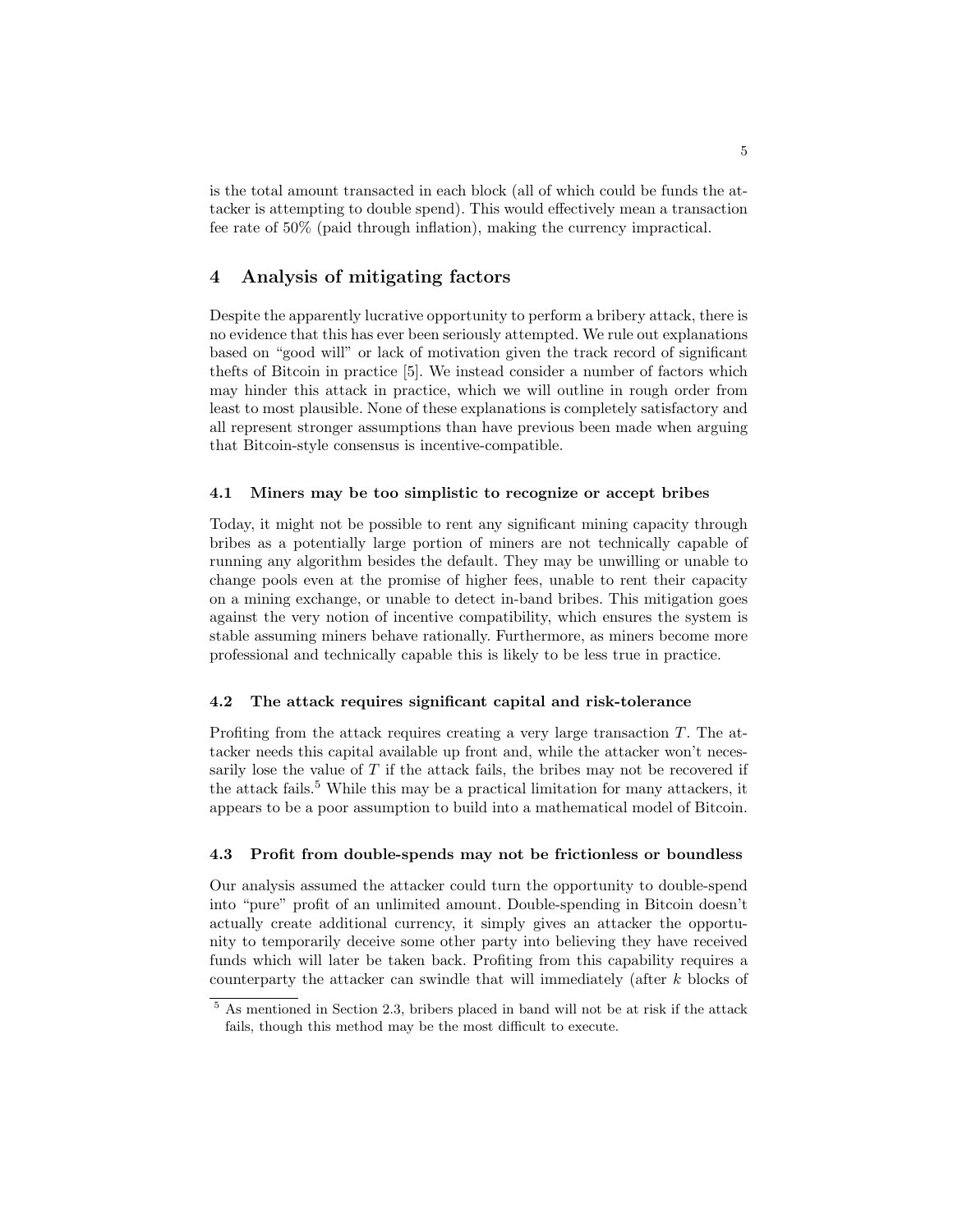is the total amount transacted in each block (all of which could be funds the attacker is attempting to double spend). This would effectively mean a transaction fee rate of 50% (paid through inflation), making the currency impractical.

# 4 Analysis of mitigating factors

Despite the apparently lucrative opportunity to perform a bribery attack, there is no evidence that this has ever been seriously attempted. We rule out explanations based on "good will" or lack of motivation given the track record of significant thefts of Bitcoin in practice [\[5\]](#page-7-5). We instead consider a number of factors which may hinder this attack in practice, which we will outline in rough order from least to most plausible. None of these explanations is completely satisfactory and all represent stronger assumptions than have previous been made when arguing that Bitcoin-style consensus is incentive-compatible.

#### 4.1 Miners may be too simplistic to recognize or accept bribes

Today, it might not be possible to rent any significant mining capacity through bribes as a potentially large portion of miners are not technically capable of running any algorithm besides the default. They may be unwilling or unable to change pools even at the promise of higher fees, unable to rent their capacity on a mining exchange, or unable to detect in-band bribes. This mitigation goes against the very notion of incentive compatibility, which ensures the system is stable assuming miners behave rationally. Furthermore, as miners become more professional and technically capable this is likely to be less true in practice.

## 4.2 The attack requires significant capital and risk-tolerance

Profiting from the attack requires creating a very large transaction T. The attacker needs this capital available up front and, while the attacker won't necessarily lose the value of  $T$  if the attack fails, the bribes may not be recovered if the attack fails.<sup>[5](#page-4-0)</sup> While this may be a practical limitation for many attackers, it appears to be a poor assumption to build into a mathematical model of Bitcoin.

#### 4.3 Profit from double-spends may not be frictionless or boundless

Our analysis assumed the attacker could turn the opportunity to double-spend into "pure" profit of an unlimited amount. Double-spending in Bitcoin doesn't actually create additional currency, it simply gives an attacker the opportunity to temporarily deceive some other party into believing they have received funds which will later be taken back. Profiting from this capability requires a counterparty the attacker can swindle that will immediately (after k blocks of

<span id="page-4-0"></span> $5$  As mentioned in Section [2.3,](#page-2-2) bribers placed in band will not be at risk if the attack fails, though this method may be the most difficult to execute.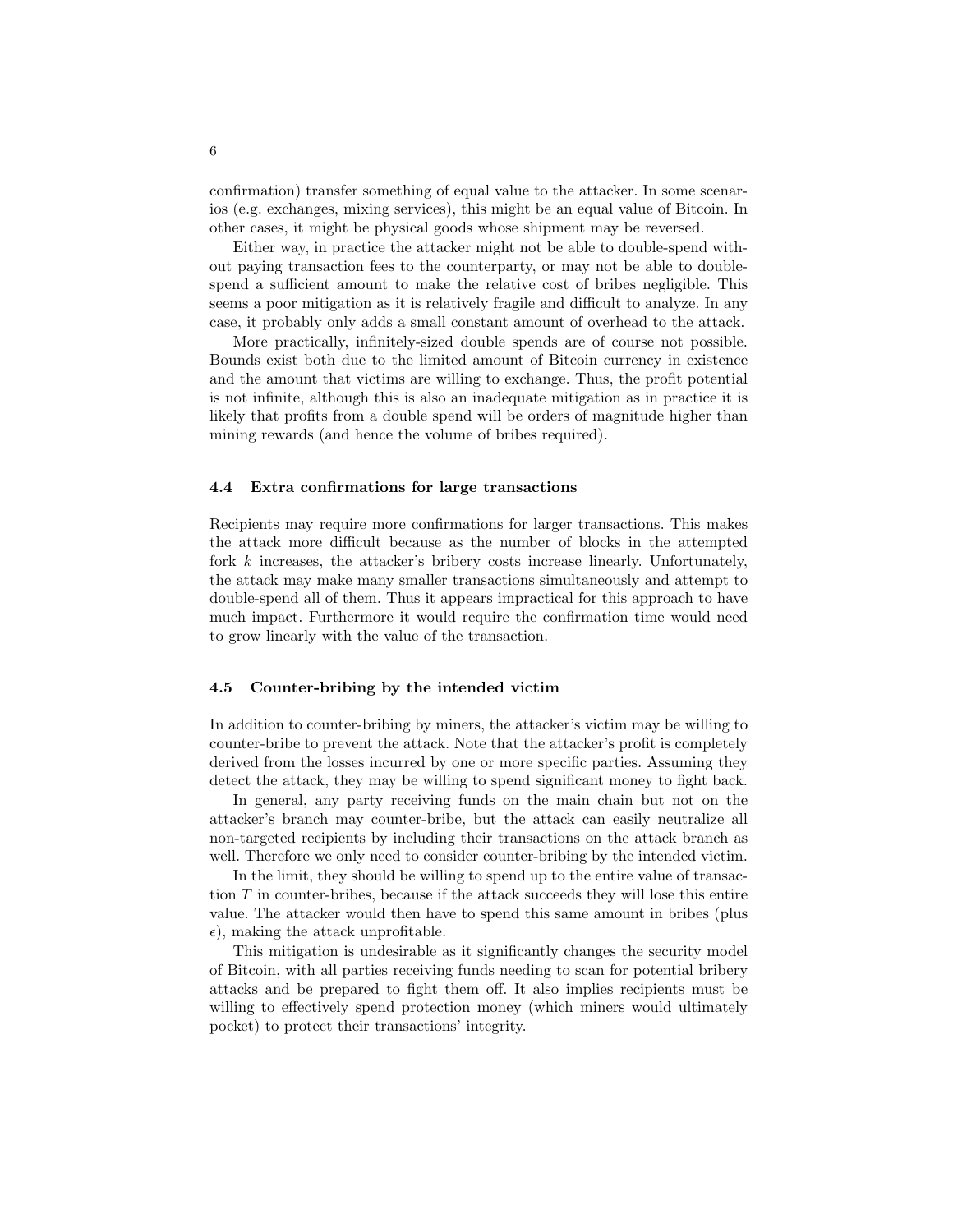confirmation) transfer something of equal value to the attacker. In some scenarios (e.g. exchanges, mixing services), this might be an equal value of Bitcoin. In other cases, it might be physical goods whose shipment may be reversed.

Either way, in practice the attacker might not be able to double-spend without paying transaction fees to the counterparty, or may not be able to doublespend a sufficient amount to make the relative cost of bribes negligible. This seems a poor mitigation as it is relatively fragile and difficult to analyze. In any case, it probably only adds a small constant amount of overhead to the attack.

More practically, infinitely-sized double spends are of course not possible. Bounds exist both due to the limited amount of Bitcoin currency in existence and the amount that victims are willing to exchange. Thus, the profit potential is not infinite, although this is also an inadequate mitigation as in practice it is likely that profits from a double spend will be orders of magnitude higher than mining rewards (and hence the volume of bribes required).

## 4.4 Extra confirmations for large transactions

Recipients may require more confirmations for larger transactions. This makes the attack more difficult because as the number of blocks in the attempted fork k increases, the attacker's bribery costs increase linearly. Unfortunately, the attack may make many smaller transactions simultaneously and attempt to double-spend all of them. Thus it appears impractical for this approach to have much impact. Furthermore it would require the confirmation time would need to grow linearly with the value of the transaction.

#### 4.5 Counter-bribing by the intended victim

In addition to counter-bribing by miners, the attacker's victim may be willing to counter-bribe to prevent the attack. Note that the attacker's profit is completely derived from the losses incurred by one or more specific parties. Assuming they detect the attack, they may be willing to spend significant money to fight back.

In general, any party receiving funds on the main chain but not on the attacker's branch may counter-bribe, but the attack can easily neutralize all non-targeted recipients by including their transactions on the attack branch as well. Therefore we only need to consider counter-bribing by the intended victim.

In the limit, they should be willing to spend up to the entire value of transaction T in counter-bribes, because if the attack succeeds they will lose this entire value. The attacker would then have to spend this same amount in bribes (plus  $\epsilon$ ), making the attack unprofitable.

This mitigation is undesirable as it significantly changes the security model of Bitcoin, with all parties receiving funds needing to scan for potential bribery attacks and be prepared to fight them off. It also implies recipients must be willing to effectively spend protection money (which miners would ultimately pocket) to protect their transactions' integrity.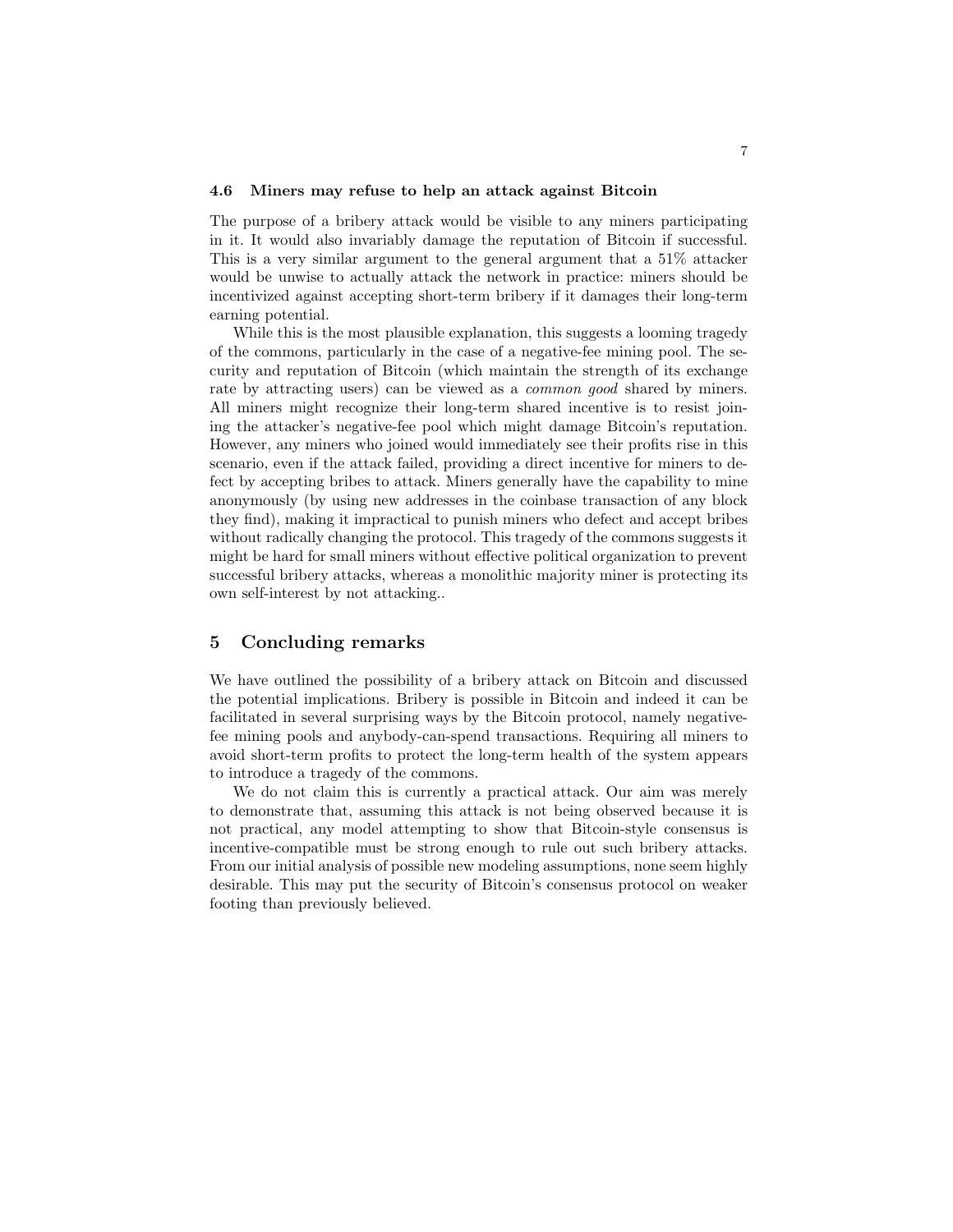## 4.6 Miners may refuse to help an attack against Bitcoin

The purpose of a bribery attack would be visible to any miners participating in it. It would also invariably damage the reputation of Bitcoin if successful. This is a very similar argument to the general argument that a 51% attacker would be unwise to actually attack the network in practice: miners should be incentivized against accepting short-term bribery if it damages their long-term earning potential.

While this is the most plausible explanation, this suggests a looming tragedy of the commons, particularly in the case of a negative-fee mining pool. The security and reputation of Bitcoin (which maintain the strength of its exchange rate by attracting users) can be viewed as a *common good* shared by miners. All miners might recognize their long-term shared incentive is to resist joining the attacker's negative-fee pool which might damage Bitcoin's reputation. However, any miners who joined would immediately see their profits rise in this scenario, even if the attack failed, providing a direct incentive for miners to defect by accepting bribes to attack. Miners generally have the capability to mine anonymously (by using new addresses in the coinbase transaction of any block they find), making it impractical to punish miners who defect and accept bribes without radically changing the protocol. This tragedy of the commons suggests it might be hard for small miners without effective political organization to prevent successful bribery attacks, whereas a monolithic majority miner is protecting its own self-interest by not attacking..

# 5 Concluding remarks

We have outlined the possibility of a bribery attack on Bitcoin and discussed the potential implications. Bribery is possible in Bitcoin and indeed it can be facilitated in several surprising ways by the Bitcoin protocol, namely negativefee mining pools and anybody-can-spend transactions. Requiring all miners to avoid short-term profits to protect the long-term health of the system appears to introduce a tragedy of the commons.

We do not claim this is currently a practical attack. Our aim was merely to demonstrate that, assuming this attack is not being observed because it is not practical, any model attempting to show that Bitcoin-style consensus is incentive-compatible must be strong enough to rule out such bribery attacks. From our initial analysis of possible new modeling assumptions, none seem highly desirable. This may put the security of Bitcoin's consensus protocol on weaker footing than previously believed.